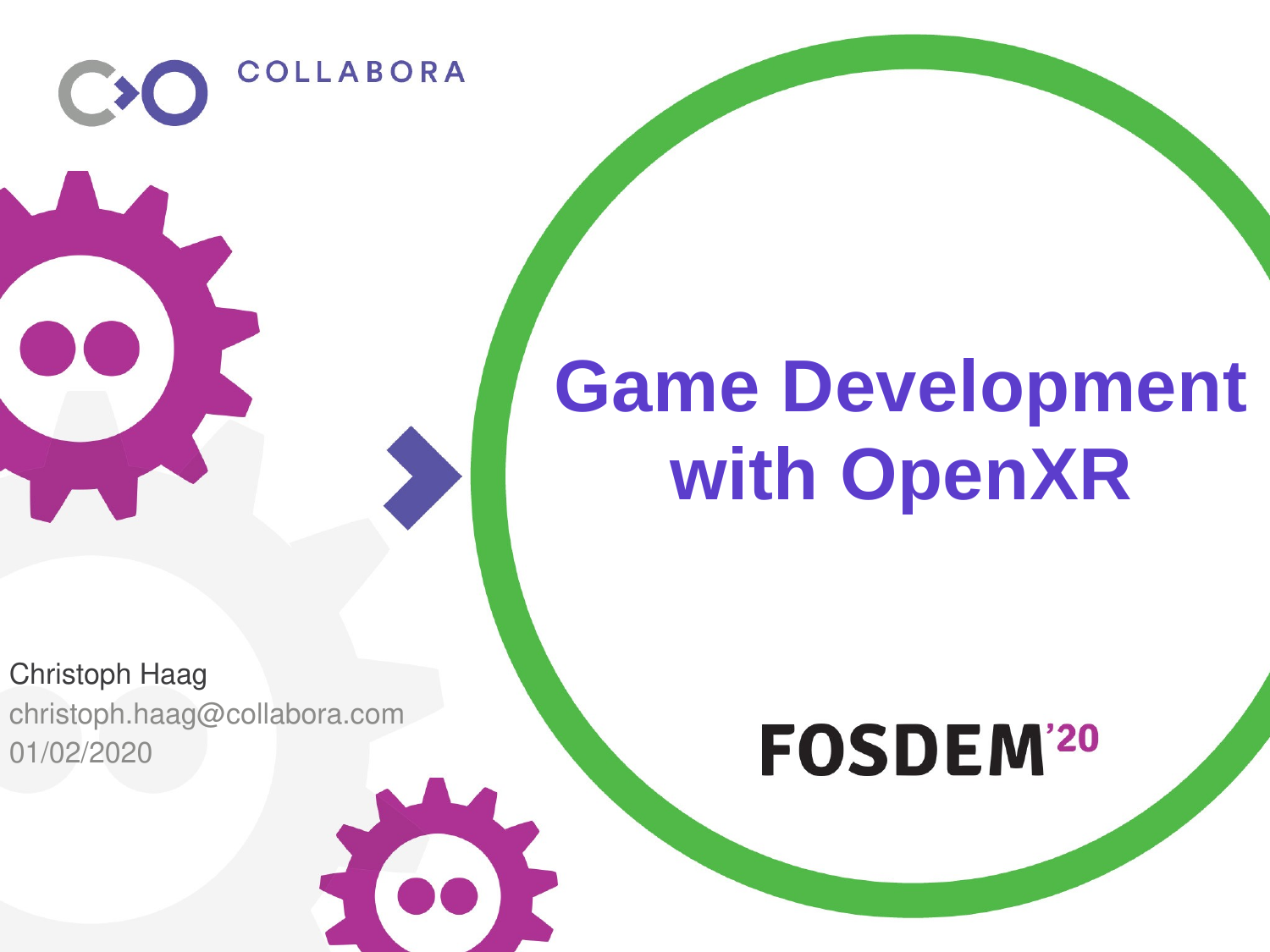Christoph Haag christoph.haag@collabora.com 01/02/2020

**COLLABORA** 

# **Game Development with OpenXR**

## **FOSDEM'20**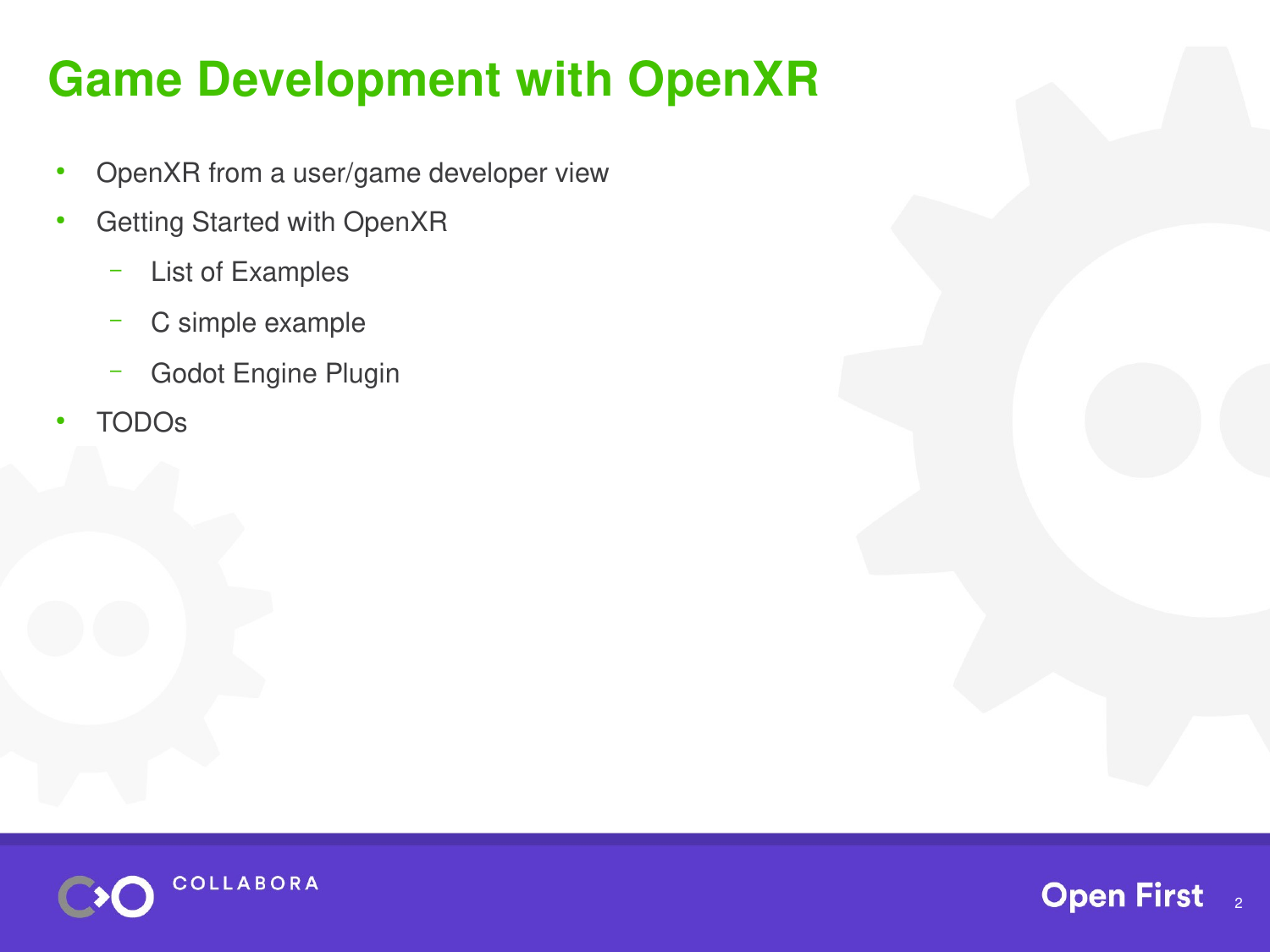#### **Game Development with OpenXR**

- OpenXR from a user/game developer view
- Getting Started with OpenXR
	- List of Examples
	- C simple example
	- Godot Engine Plugin
- **TODOs**



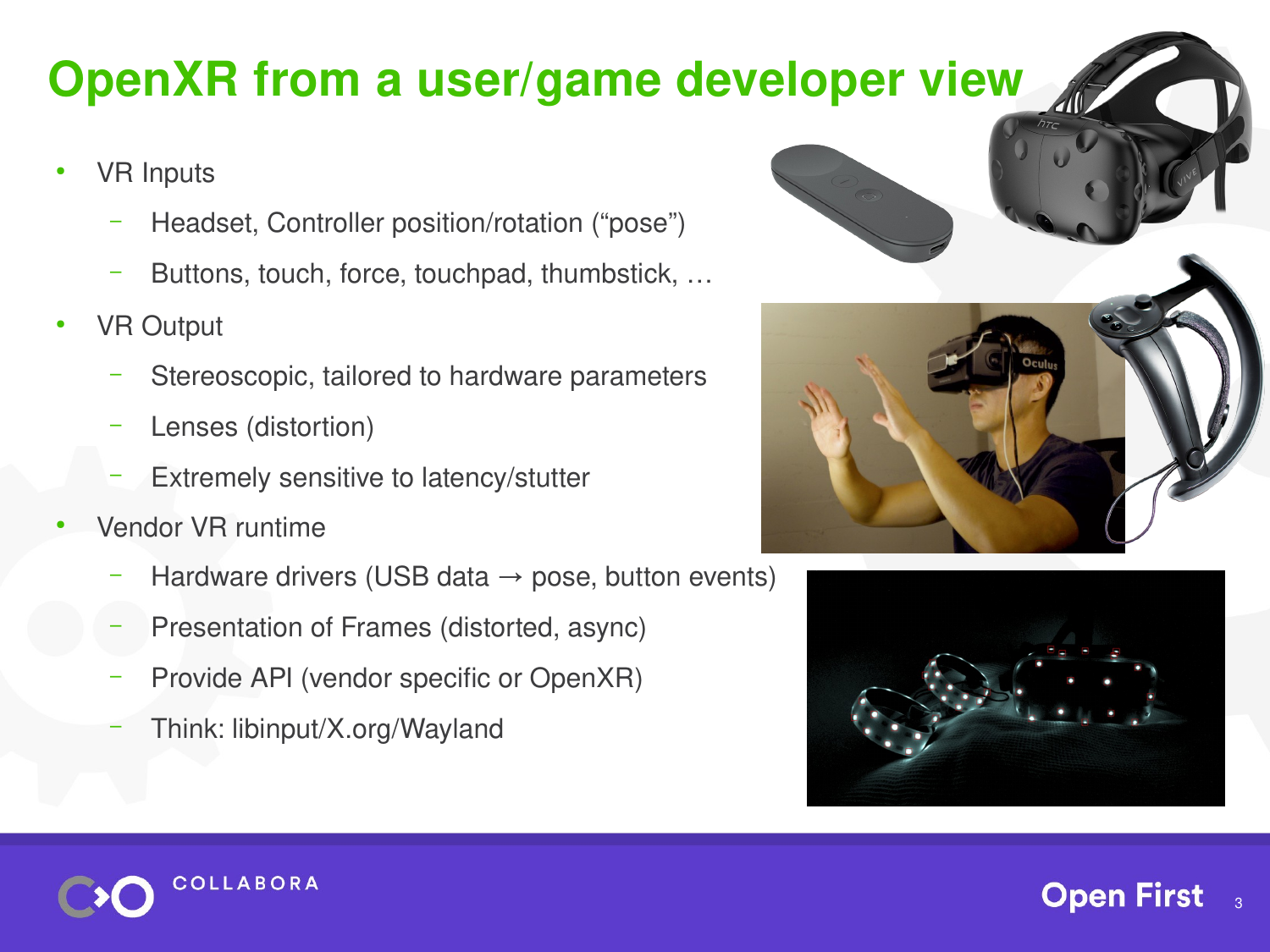#### **OpenXR from a user/game developer view**

- **VR** Inputs
	- Headset, Controller position/rotation ("pose")
	- Buttons, touch, force, touchpad, thumbstick, …
- VR Output
	- Stereoscopic, tailored to hardware parameters
	- Lenses (distortion)
	- Extremely sensitive to latency/stutter
- Vendor VR runtime
	- Hardware drivers (USB data  $\rightarrow$  pose, button events)
	- Presentation of Frames (distorted, async)
	- Provide API (vendor specific or OpenXR)
	- Think: libinput/X.org/Wayland

**COLLABORA** 





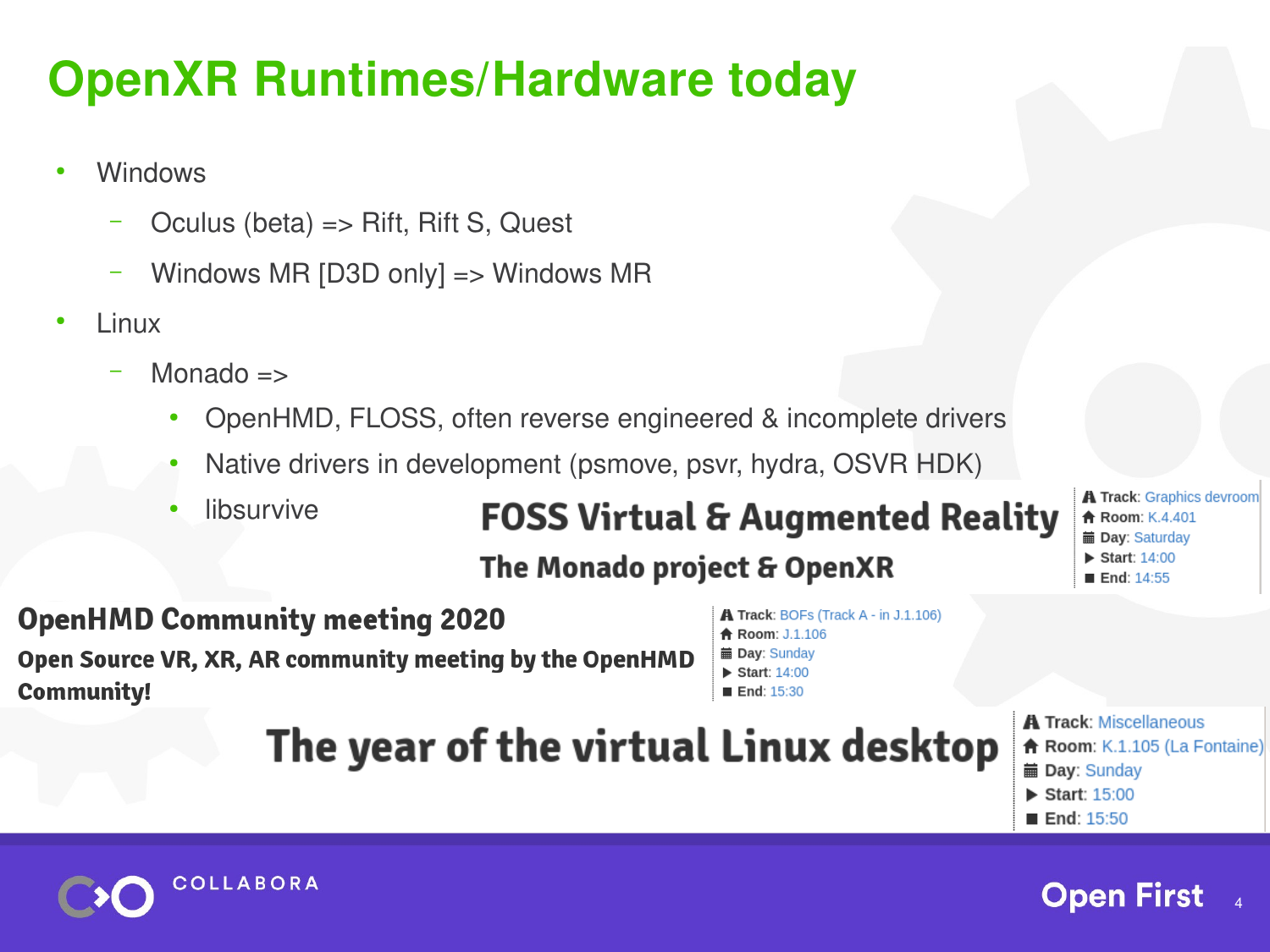### **OpenXR Runtimes/Hardware today**

- **Windows** 
	- Oculus (beta) => Rift, Rift S, Quest
	- Windows MR [D3D only] => Windows MR
- Linux
	- Monado  $\Rightarrow$ 
		- OpenHMD, FLOSS, often reverse engineered & incomplete drivers
		- Native drivers in development (psmove, psvr, hydra, OSVR HDK)
		- libsurvive

#### **FOSS Virtual & Augmented Reality**

**A Track: Graphics devroom A** Room: K.4.401 m Dav: Saturdav Start:  $14:00$ **■ End: 14:55** 

#### The Monado project & OpenXR

**OpenHMD Community meeting 2020** Open Source VR, XR, AR community meeting by the OpenHMD **Community!** 

**A Track: BOFs (Track A - in J.1.106) A** Room: J.1.106 mm Day: Sunday Start:  $14:00$  $\blacksquare$  End: 15:30

The year of the virtual Linux desktop

- **A Track: Miscellaneous** Room: K.1.105 (La Fontaine) mm Day: Sunday
- Start:  $15:00$
- End: 15:50



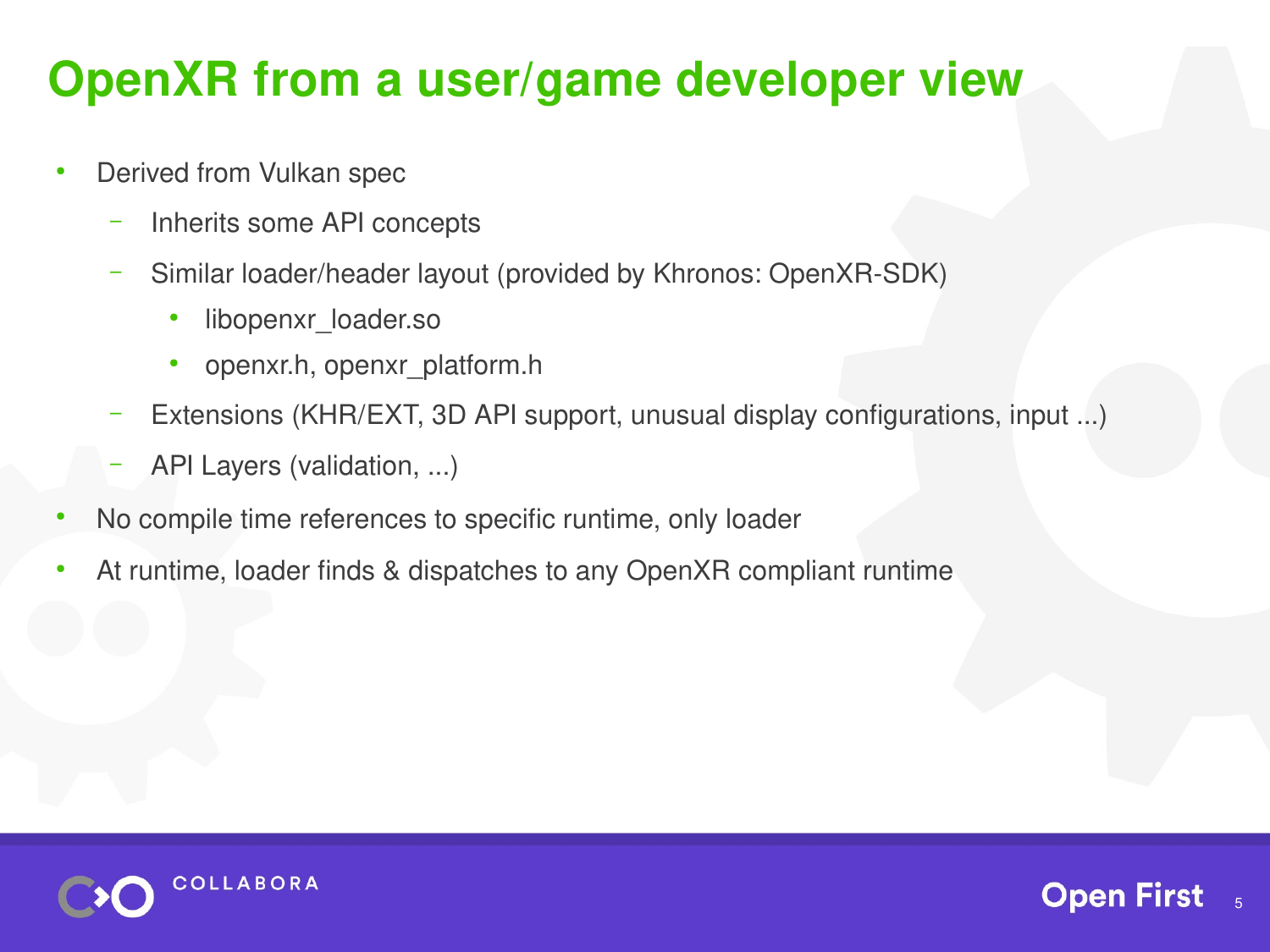#### **OpenXR from a user/game developer view**

- Derived from Vulkan spec
	- Inherits some API concepts
	- Similar loader/header layout (provided by Khronos: OpenXR-SDK)
		- libopenxr\_loader.so
		- openxr.h, openxr\_platform.h
	- Extensions (KHR/EXT, 3D API support, unusual display configurations, input ...)
	- API Layers (validation, ...)
- No compile time references to specific runtime, only loader
- At runtime, loader finds & dispatches to any OpenXR compliant runtime



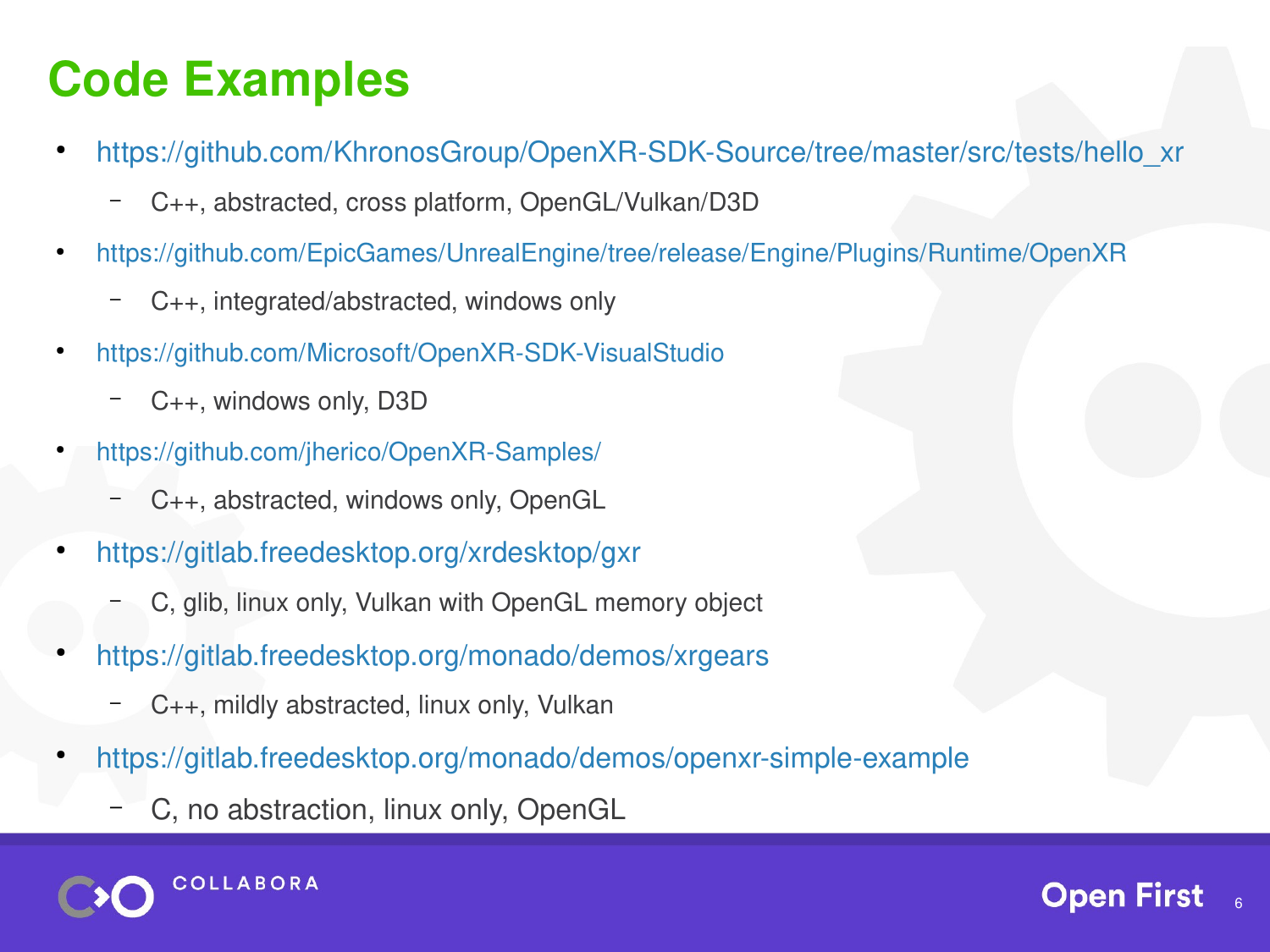#### **Code Examples**

- [https://github.com/KhronosGroup/OpenXR-SDK-Source/tree/master/src/tests/hello\\_xr](https://github.com/KhronosGroup/OpenXR-SDK-Source/tree/master/src/tests/hello_xr)
	- C++, abstracted, cross platform, OpenGL/Vulkan/D3D
- <https://github.com/EpicGames/UnrealEngine/tree/release/Engine/Plugins/Runtime/OpenXR>
	- C++, integrated/abstracted, windows only
- <https://github.com/Microsoft/OpenXR-SDK-VisualStudio>
	- C++, windows only, D3D
- <https://github.com/jherico/OpenXR-Samples/>
	- C++, abstracted, windows only, OpenGL
- <https://gitlab.freedesktop.org/xrdesktop/gxr>
	- C, glib, linux only, Vulkan with OpenGL memory object
- <https://gitlab.freedesktop.org/monado/demos/xrgears>
	- C++, mildly abstracted, linux only, Vulkan
- <https://gitlab.freedesktop.org/monado/demos/openxr-simple-example>
	- C, no abstraction, linux only, OpenGL

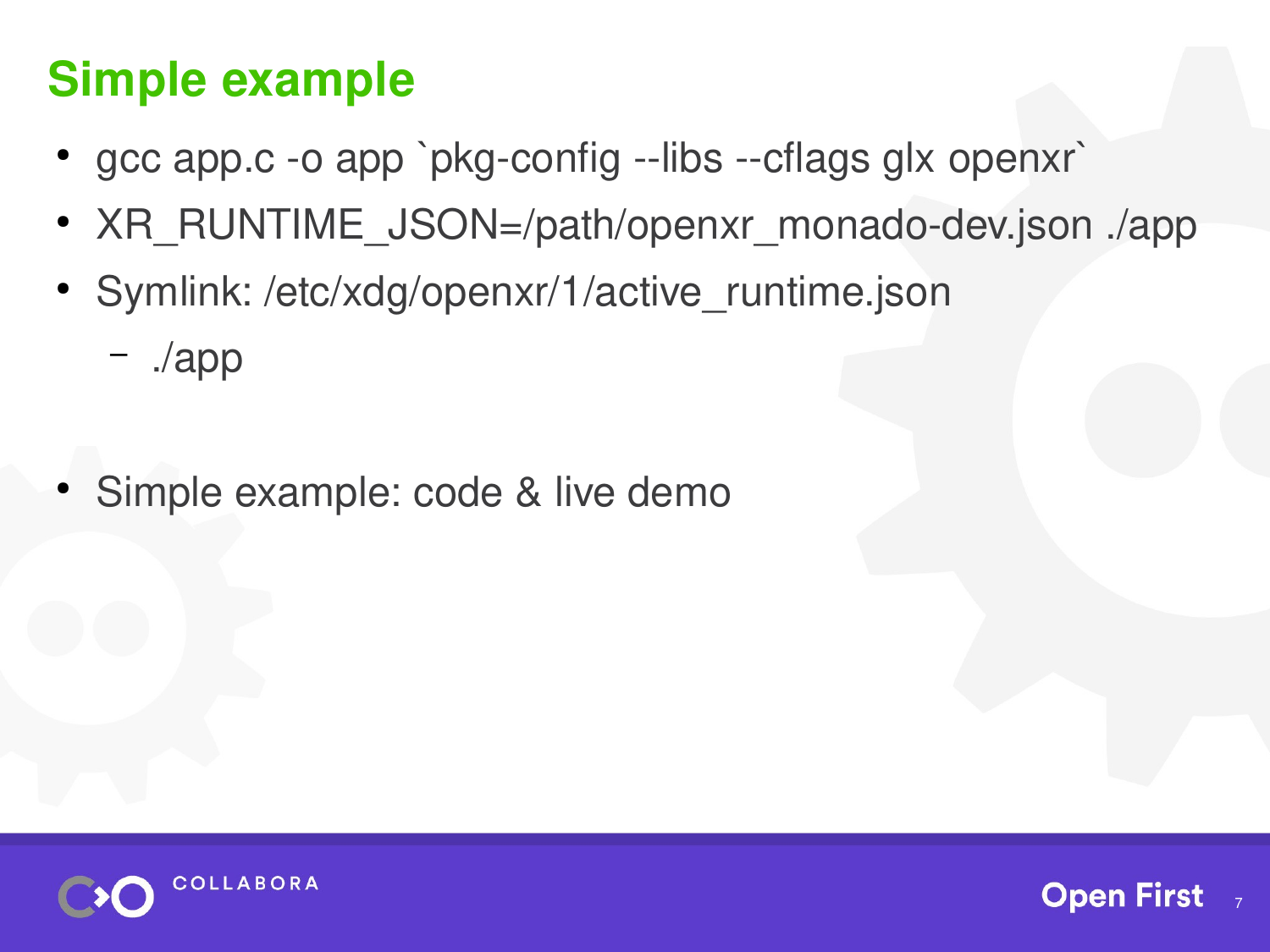### **Simple example**

- gcc app.c -o app `pkg-config --libs --cflags glx openxr`
- XR\_RUNTIME\_JSON=/path/openxr\_monado-dev.json ./app
- Symlink: /etc/xdg/openxr/1/active runtime.json
	- ./app
- Simple example: code & live demo



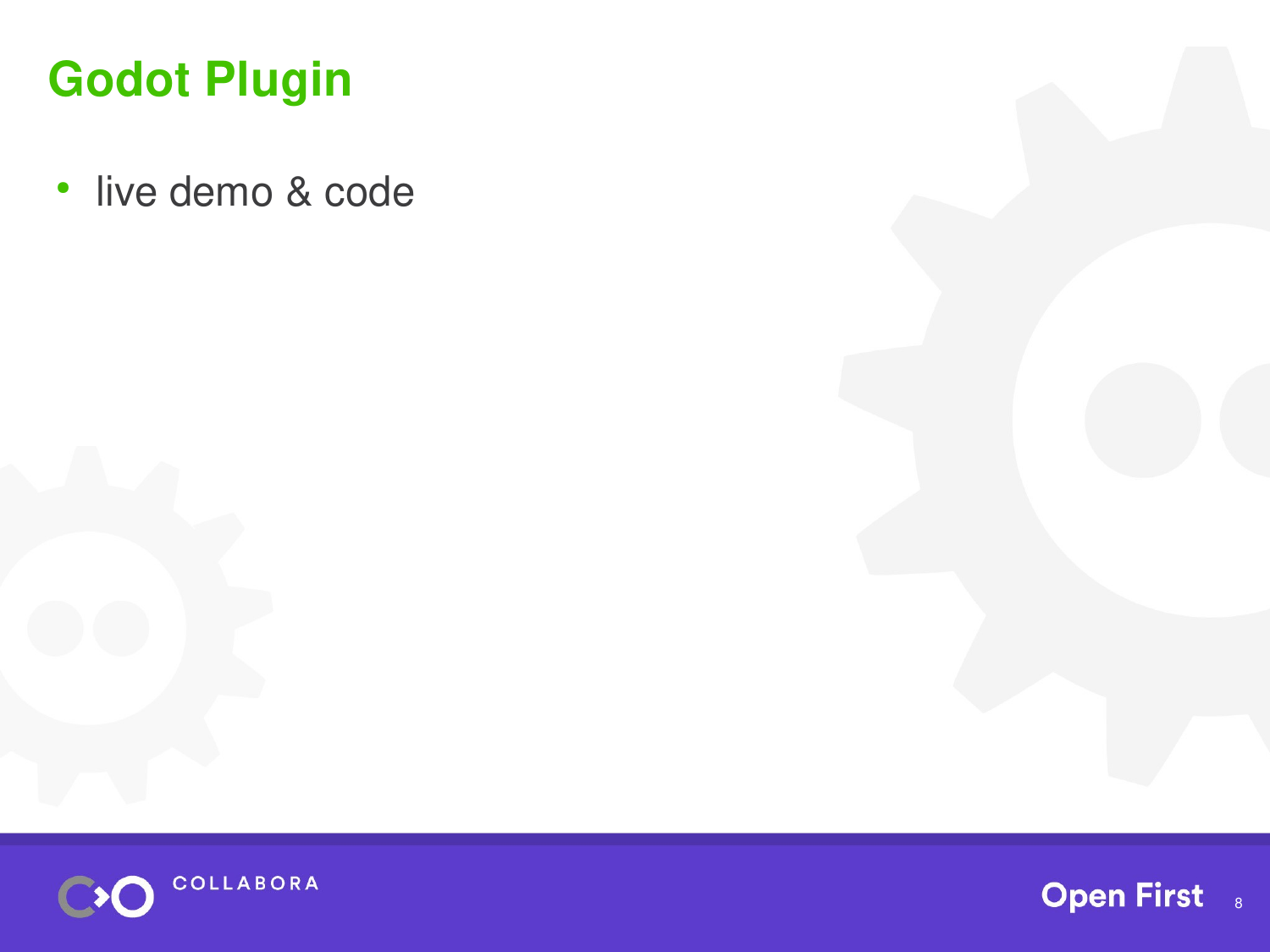#### **Godot Plugin**

● live demo & code



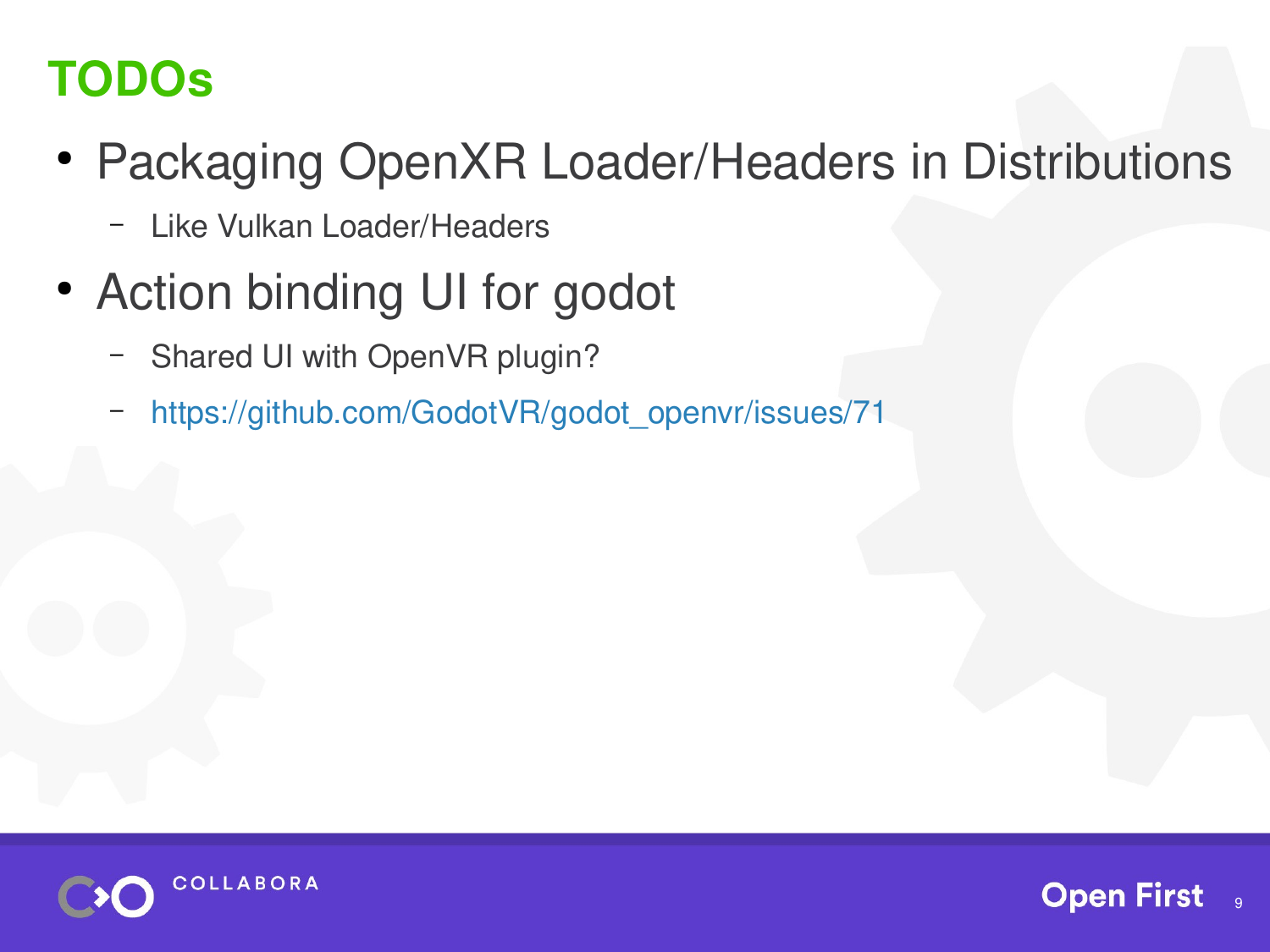## **TODOs**

- Packaging OpenXR Loader/Headers in Distributions
	- Like Vulkan Loader/Headers
- Action binding UI for godot
	- Shared UI with OpenVR plugin?
	- [https://github.com/GodotVR/godot\\_openvr/issues/71](https://github.com/GodotVR/godot_openvr/issues/71)



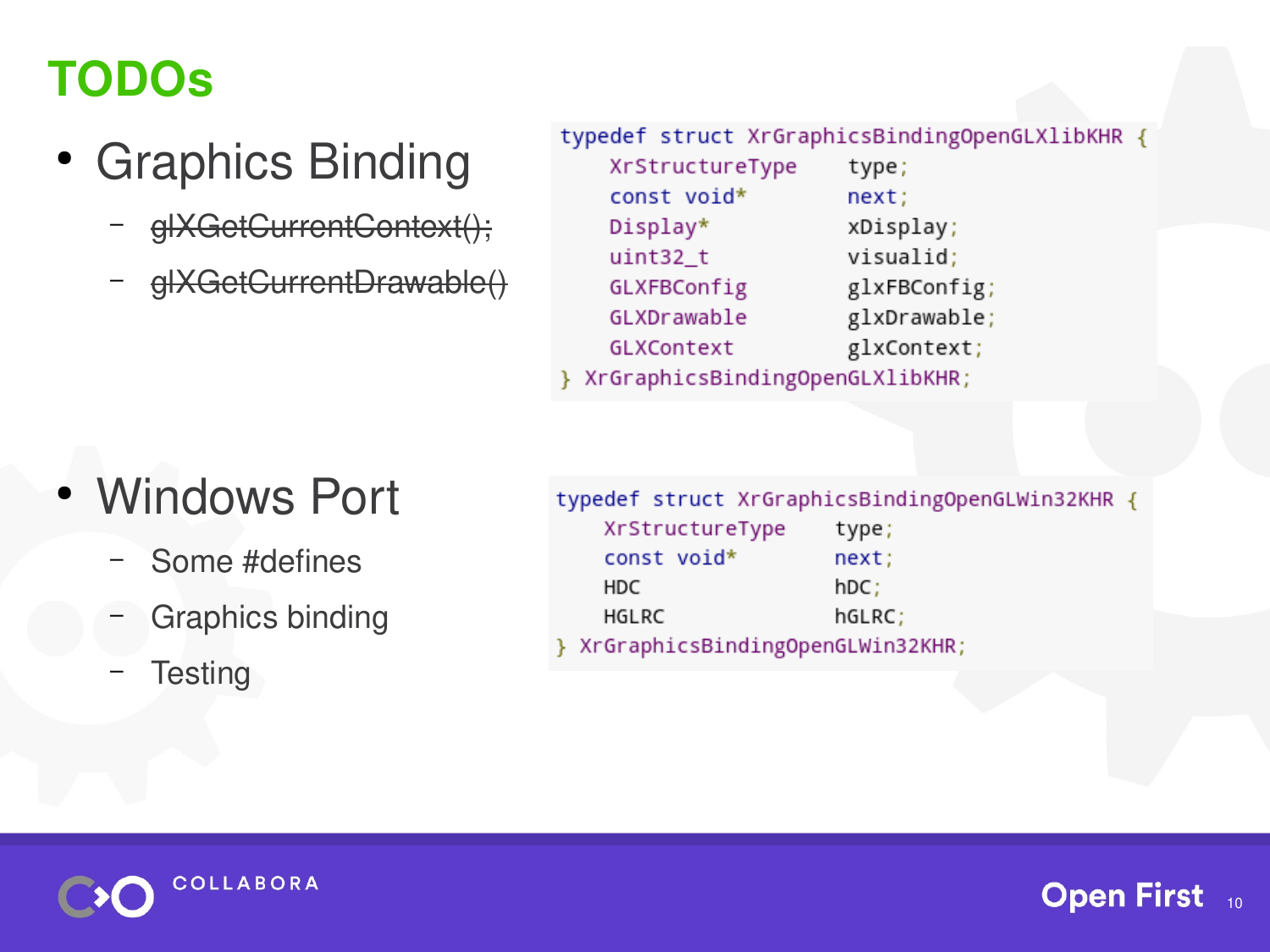### **TODOs**

- Graphics Binding
	- glXGetCurrentContext();
	- glXGetCurrentDrawable()

typedef struct XrGraphicsBindingOpenGLXlibKHR {

| XrStructureType                 | type;        |
|---------------------------------|--------------|
| const void*                     | next;        |
| Display*                        | xDisplay;    |
| $uint32_t$                      | visualid;    |
| GLXFBConfig                     | glxFBConfig; |
| GLXDrawable                     | glxDrawable; |
| GLXContext                      | glxContext;  |
| XrGraphicsBindingOpenGLXlibKHR; |              |

#### **Windows Port**

- Some #defines
- Graphics binding
- **Testing**

| typedef struct XrGraphicsBindingOpenGLWin32KHR { |        |
|--------------------------------------------------|--------|
| XrStructureType                                  | type;  |
| const void*                                      | next;  |
| HDC.                                             | hDC;   |
| HGLRC                                            | hGLRC; |
| } XrGraphicsBindingOpenGLWin32KHR;               |        |